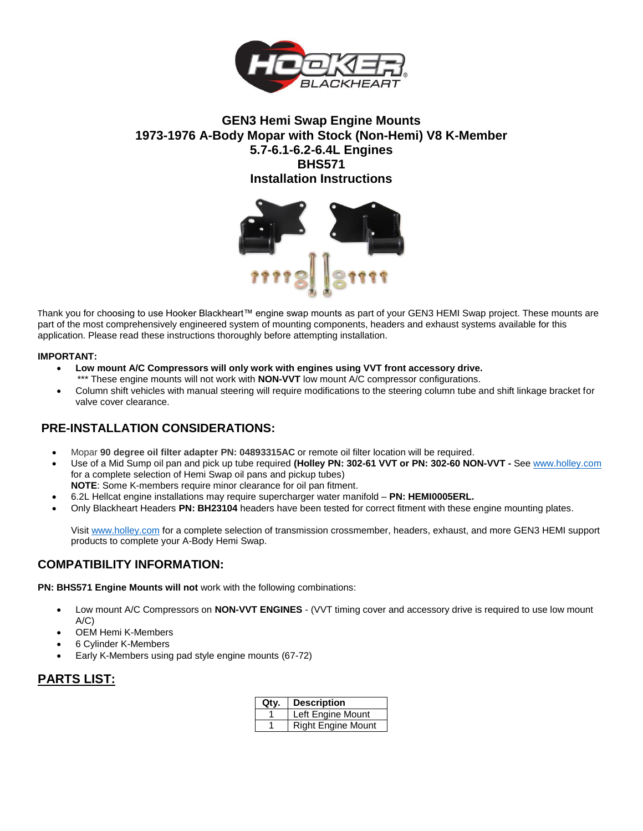

## **GEN3 Hemi Swap Engine Mounts 1973-1976 A-Body Mopar with Stock (Non-Hemi) V8 K-Member 5.7-6.1-6.2-6.4L Engines BHS571 Installation Instructions**



Thank you for choosing to use Hooker Blackheart™ engine swap mounts as part of your GEN3 HEMI Swap project. These mounts are part of the most comprehensively engineered system of mounting components, headers and exhaust systems available for this application. Please read these instructions thoroughly before attempting installation.

#### **IMPORTANT:**

- **Low mount A/C Compressors will only work with engines using VVT front accessory drive.** \*\*\* These engine mounts will not work with **NON-VVT** low mount A/C compressor configurations.
- Column shift vehicles with manual steering will require modifications to the steering column tube and shift linkage bracket for valve cover clearance.

## **PRE-INSTALLATION CONSIDERATIONS:**

- Mopar **90 degree oil filter adapter PN: 04893315AC** or remote oil filter location will be required.
- Use of a Mid Sump oil pan and pick up tube required **(Holley PN: 302-61 VVT or PN: 302-60 NON-VVT -** Se[e www.holley.com](http://www.holley.com/) for a complete selection of Hemi Swap oil pans and pickup tubes)
- **NOTE**: Some K-members require minor clearance for oil pan fitment.
- 6.2L Hellcat engine installations may require supercharger water manifold **PN: HEMI0005ERL.**
- Only Blackheart Headers **PN: BH23104** headers have been tested for correct fitment with these engine mounting plates.

Visit [www.holley.com](http://www.holley.com/) for a complete selection of transmission crossmember, headers, exhaust, and more GEN3 HEMI support products to complete your A-Body Hemi Swap.

### **COMPATIBILITY INFORMATION:**

**PN: BHS571 Engine Mounts will not** work with the following combinations:

- Low mount A/C Compressors on **NON-VVT ENGINES** (VVT timing cover and accessory drive is required to use low mount  $A/C$
- OEM Hemi K-Members
- 6 Cylinder K-Members
- Early K-Members using pad style engine mounts (67-72)

## **PARTS LIST:**

| Qtv. | <b>Description</b>        |
|------|---------------------------|
|      | Left Engine Mount         |
|      | <b>Right Engine Mount</b> |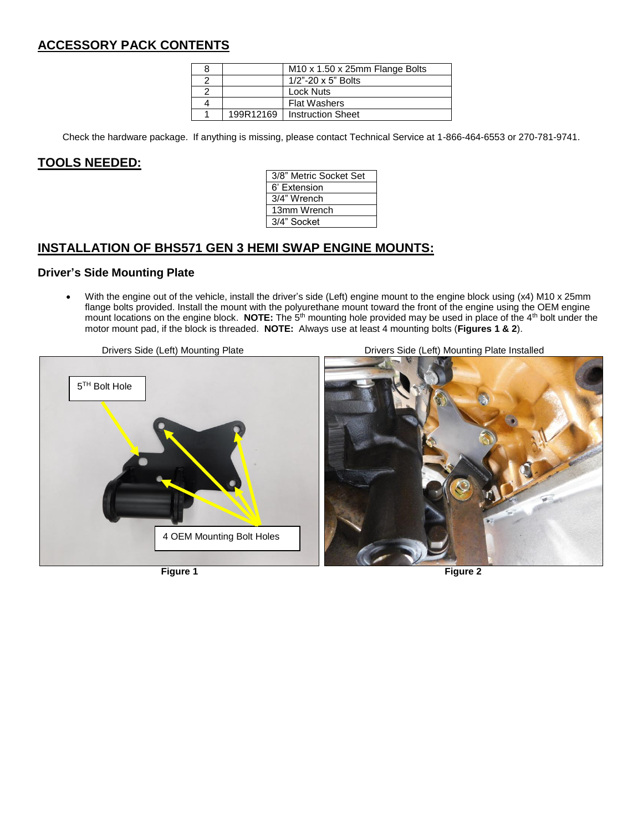# **ACCESSORY PACK CONTENTS**

|           | M <sub>10</sub> x 1.50 x 25mm Flange Bolts |
|-----------|--------------------------------------------|
|           | $1/2$ "-20 x 5" Bolts                      |
|           | Lock Nuts                                  |
|           | <b>Flat Washers</b>                        |
| 199R12169 | <b>Instruction Sheet</b>                   |

Check the hardware package. If anything is missing, please contact Technical Service at 1-866-464-6553 or 270-781-9741.

### **TOOLS NEEDED:**

| 3/8" Metric Socket Set |
|------------------------|
| 6' Extension           |
| 3/4" Wrench            |
| 13mm Wrench            |
| 3/4" Socket            |
|                        |

## **INSTALLATION OF BHS571 GEN 3 HEMI SWAP ENGINE MOUNTS:**

### **Driver's Side Mounting Plate**

 With the engine out of the vehicle, install the driver's side (Left) engine mount to the engine block using (x4) M10 x 25mm flange bolts provided. Install the mount with the polyurethane mount toward the front of the engine using the OEM engine mount locations on the engine block. **NOTE:** The 5th mounting hole provided may be used in place of the 4th bolt under the motor mount pad, if the block is threaded. **NOTE:** Always use at least 4 mounting bolts (**Figures 1 & 2**).

Drivers Side (Left) Mounting Plate Drivers Side (Left) Mounting Plate Installed

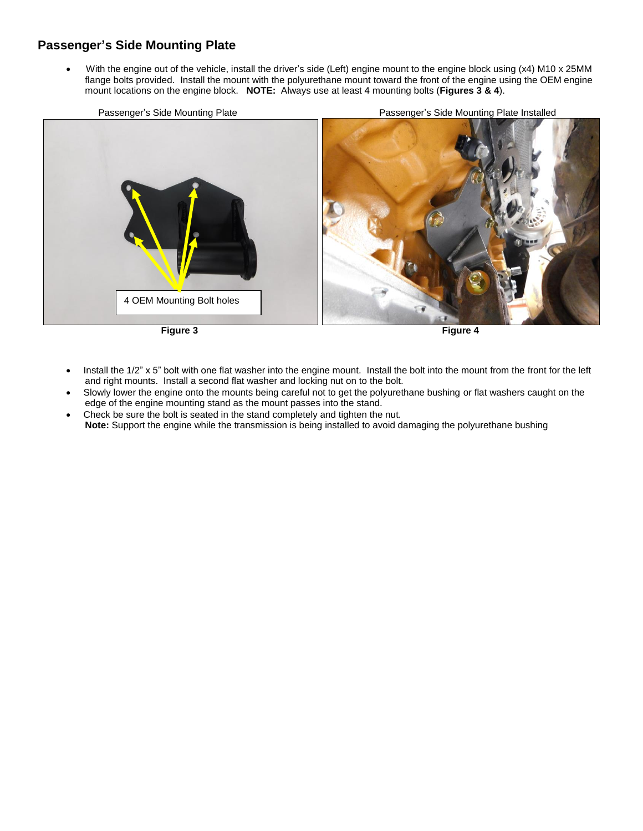## **Passenger's Side Mounting Plate**

With the engine out of the vehicle, install the driver's side (Left) engine mount to the engine block using (x4) M10 x 25MM flange bolts provided. Install the mount with the polyurethane mount toward the front of the engine using the OEM engine mount locations on the engine block. **NOTE:** Always use at least 4 mounting bolts (**Figures 3 & 4**).

Passenger's Side Mounting Plate **Passenger's Side Mounting Plate Installed** 



- Install the 1/2" x 5" bolt with one flat washer into the engine mount. Install the bolt into the mount from the front for the left and right mounts. Install a second flat washer and locking nut on to the bolt.
- Slowly lower the engine onto the mounts being careful not to get the polyurethane bushing or flat washers caught on the edge of the engine mounting stand as the mount passes into the stand.
- Check be sure the bolt is seated in the stand completely and tighten the nut. **Note:** Support the engine while the transmission is being installed to avoid damaging the polyurethane bushing